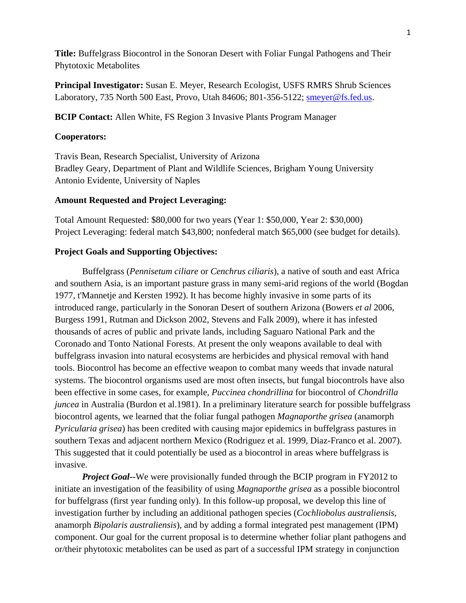**Title:** Buffelgrass Biocontrol in the Sonoran Desert with Foliar Fungal Pathogens and Their Phytotoxic Metabolites

**Principal Investigator:** Susan E. Meyer, Research Ecologist, USFS RMRS Shrub Sciences Laboratory, 735 North 500 East, Provo, Utah 84606; 801-356-5122; smeyer@fs.fed.us.

**BCIP Contact:** Allen White, FS Region 3 Invasive Plants Program Manager

# **Cooperators:**

Travis Bean, Research Specialist, University of Arizona Bradley Geary, Department of Plant and Wildlife Sciences, Brigham Young University Antonio Evidente, University of Naples

# **Amount Requested and Project Leveraging:**

Total Amount Requested: \$80,000 for two years (Year 1: \$50,000, Year 2: \$30,000) Project Leveraging: federal match \$43,800; nonfederal match \$65,000 (see budget for details).

# **Project Goals and Supporting Objectives:**

Buffelgrass (*Pennisetum ciliare* or *Cenchrus ciliaris*), a native of south and east Africa and southern Asia, is an important pasture grass in many semi-arid regions of the world (Bogdan 1977, t'Mannetje and Kersten 1992). It has become highly invasive in some parts of its introduced range, particularly in the Sonoran Desert of southern Arizona (Bowers *et al* 2006, Burgess 1991, Rutman and Dickson 2002, Stevens and Falk 2009), where it has infested thousands of acres of public and private lands, including Saguaro National Park and the Coronado and Tonto National Forests. At present the only weapons available to deal with buffelgrass invasion into natural ecosystems are herbicides and physical removal with hand tools. Biocontrol has become an effective weapon to combat many weeds that invade natural systems. The biocontrol organisms used are most often insects, but fungal biocontrols have also been effective in some cases, for example, *Puccinea chondrillina* for biocontrol of *Chondrilla juncea* in Australia (Burdon et al.1981). In a preliminary literature search for possible buffelgrass biocontrol agents, we learned that the foliar fungal pathogen *Magnaporthe grisea* (anamorph *Pyricularia grisea*) has been credited with causing major epidemics in buffelgrass pastures in southern Texas and adjacent northern Mexico (Rodriguez et al. 1999, Diaz-Franco et al. 2007). This suggested that it could potentially be used as a biocontrol in areas where buffelgrass is invasive.

*Project Goal*--We were provisionally funded through the BCIP program in FY2012 to initiate an investigation of the feasibility of using *Magnaporthe grisea* as a possible biocontrol for buffelgrass (first year funding only). In this follow-up proposal, we develop this line of investigation further by including an additional pathogen species (*Cochliobolus australiensis*, anamorph *Bipolaris australiensis*), and by adding a formal integrated pest management (IPM) component. Our goal for the current proposal is to determine whether foliar plant pathogens and or/their phytotoxic metabolites can be used as part of a successful IPM strategy in conjunction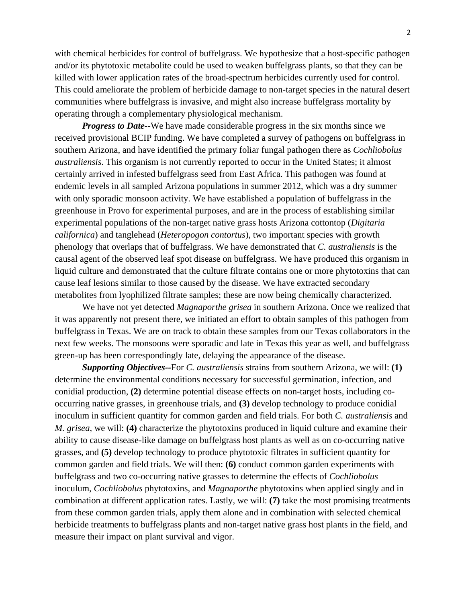with chemical herbicides for control of buffelgrass. We hypothesize that a host-specific pathogen and/or its phytotoxic metabolite could be used to weaken buffelgrass plants, so that they can be killed with lower application rates of the broad-spectrum herbicides currently used for control. This could ameliorate the problem of herbicide damage to non-target species in the natural desert communities where buffelgrass is invasive, and might also increase buffelgrass mortality by operating through a complementary physiological mechanism.

*Progress to Date*--We have made considerable progress in the six months since we received provisional BCIP funding. We have completed a survey of pathogens on buffelgrass in southern Arizona, and have identified the primary foliar fungal pathogen there as *Cochliobolus australiensis*. This organism is not currently reported to occur in the United States; it almost certainly arrived in infested buffelgrass seed from East Africa. This pathogen was found at endemic levels in all sampled Arizona populations in summer 2012, which was a dry summer with only sporadic monsoon activity. We have established a population of buffelgrass in the greenhouse in Provo for experimental purposes, and are in the process of establishing similar experimental populations of the non-target native grass hosts Arizona cottontop (*Digitaria californica*) and tanglehead (*Heteropogon contortus*), two important species with growth phenology that overlaps that of buffelgrass. We have demonstrated that *C. australiensis* is the causal agent of the observed leaf spot disease on buffelgrass. We have produced this organism in liquid culture and demonstrated that the culture filtrate contains one or more phytotoxins that can cause leaf lesions similar to those caused by the disease. We have extracted secondary metabolites from lyophilized filtrate samples; these are now being chemically characterized.

We have not yet detected *Magnaporthe grisea* in southern Arizona. Once we realized that it was apparently not present there, we initiated an effort to obtain samples of this pathogen from buffelgrass in Texas. We are on track to obtain these samples from our Texas collaborators in the next few weeks. The monsoons were sporadic and late in Texas this year as well, and buffelgrass green-up has been correspondingly late, delaying the appearance of the disease.

*Supporting Objectives--*For *C. australiensis* strains from southern Arizona, we will: **(1)**  determine the environmental conditions necessary for successful germination, infection, and conidial production, **(2)** determine potential disease effects on non-target hosts, including cooccurring native grasses, in greenhouse trials, and **(3)** develop technology to produce conidial inoculum in sufficient quantity for common garden and field trials. For both *C. australiensis* and *M. grisea*, we will: **(4)** characterize the phytotoxins produced in liquid culture and examine their ability to cause disease-like damage on buffelgrass host plants as well as on co-occurring native grasses, and **(5)** develop technology to produce phytotoxic filtrates in sufficient quantity for common garden and field trials. We will then: **(6)** conduct common garden experiments with buffelgrass and two co-occurring native grasses to determine the effects of *Cochliobolus*  inoculum, *Cochliobolus* phytotoxins, and *Magnaporthe* phytotoxins when applied singly and in combination at different application rates. Lastly, we will: **(7)** take the most promising treatments from these common garden trials, apply them alone and in combination with selected chemical herbicide treatments to buffelgrass plants and non-target native grass host plants in the field, and measure their impact on plant survival and vigor.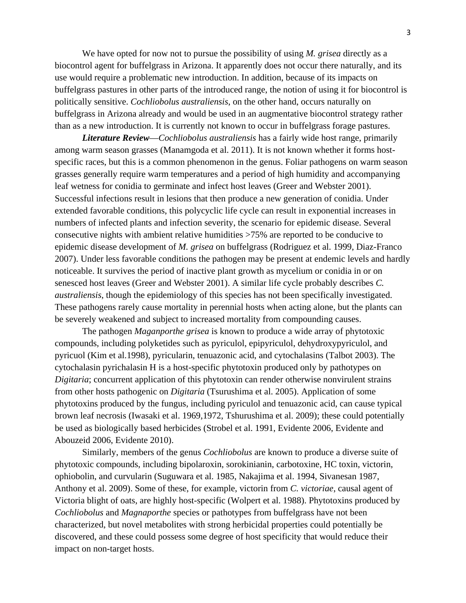We have opted for now not to pursue the possibility of using *M. grisea* directly as a biocontrol agent for buffelgrass in Arizona. It apparently does not occur there naturally, and its use would require a problematic new introduction. In addition, because of its impacts on buffelgrass pastures in other parts of the introduced range, the notion of using it for biocontrol is politically sensitive. *Cochliobolus australiensis*, on the other hand, occurs naturally on buffelgrass in Arizona already and would be used in an augmentative biocontrol strategy rather than as a new introduction. It is currently not known to occur in buffelgrass forage pastures.

be severely weakened and subject to increased mortality from compounding causes. *Literature Review*—*Cochliobolus australiensis* has a fairly wide host range, primarily among warm season grasses (Manamgoda et al. 2011). It is not known whether it forms hostspecific races, but this is a common phenomenon in the genus. Foliar pathogens on warm season grasses generally require warm temperatures and a period of high humidity and accompanying leaf wetness for conidia to germinate and infect host leaves (Greer and Webster 2001). Successful infections result in lesions that then produce a new generation of conidia. Under extended favorable conditions, this polycyclic life cycle can result in exponential increases in numbers of infected plants and infection severity, the scenario for epidemic disease. Several consecutive nights with ambient relative humidities >75% are reported to be conducive to epidemic disease development of *M. grisea* on buffelgrass (Rodriguez et al. 1999, Diaz-Franco 2007). Under less favorable conditions the pathogen may be present at endemic levels and hardly noticeable. It survives the period of inactive plant growth as mycelium or conidia in or on senesced host leaves (Greer and Webster 2001). A similar life cycle probably describes *C. australiensis*, though the epidemiology of this species has not been specifically investigated. These pathogens rarely cause mortality in perennial hosts when acting alone, but the plants can

The pathogen *Maganporthe grisea* is known to produce a wide array of phytotoxic compounds, including polyketides such as pyriculol, epipyriculol, dehydroxypyriculol, and pyricuol (Kim et al.1998), pyricularin, tenuazonic acid, and cytochalasins (Talbot 2003). The cytochalasin pyrichalasin H is a host-specific phytotoxin produced only by pathotypes on *Digitaria*; concurrent application of this phytotoxin can render otherwise nonvirulent strains from other hosts pathogenic on *Digitaria* (Tsurushima et al. 2005). Application of some phytotoxins produced by the fungus, including pyriculol and tenuazonic acid, can cause typical brown leaf necrosis (Iwasaki et al. 1969,1972, Tshurushima et al. 2009); these could potentially be used as biologically based herbicides (Strobel et al. 1991, Evidente 2006, Evidente and Abouzeid 2006, Evidente 2010).

Similarly, members of the genus *Cochliobolus* are known to produce a diverse suite of phytotoxic compounds, including bipolaroxin, sorokinianin, carbotoxine, HC toxin, victorin, ophiobolin, and curvularin (Suguwara et al. 1985, Nakajima et al. 1994, Sivanesan 1987, Anthony et al. 2009). Some of these, for example, victorin from *C. victoriae*, causal agent of Victoria blight of oats, are highly host-specific (Wolpert et al. 1988). Phytotoxins produced by *Cochliobolus* and *Magnaporthe* species or pathotypes from buffelgrass have not been characterized, but novel metabolites with strong herbicidal properties could potentially be discovered, and these could possess some degree of host specificity that would reduce their impact on non-target hosts.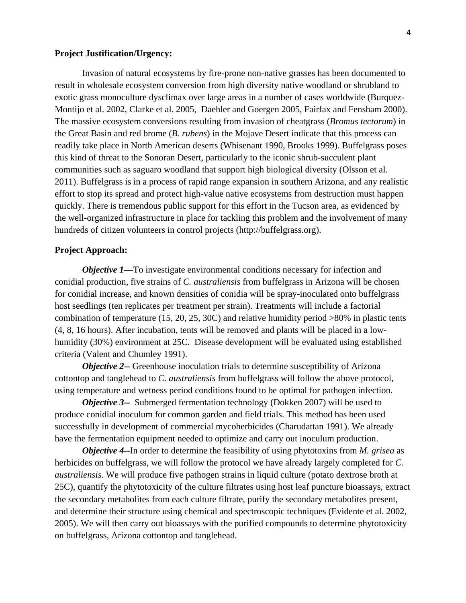#### **Project Justification/Urgency:**

Invasion of natural ecosystems by fire-prone non-native grasses has been documented to result in wholesale ecosystem conversion from high diversity native woodland or shrubland to exotic grass monoculture dysclimax over large areas in a number of cases worldwide (Burquez-Montijo et al. 2002, Clarke et al. 2005, Daehler and Goergen 2005, Fairfax and Fensham 2000). The massive ecosystem conversions resulting from invasion of cheatgrass (*Bromus tectorum*) in the Great Basin and red brome (*B. rubens*) in the Mojave Desert indicate that this process can readily take place in North American deserts (Whisenant 1990, Brooks 1999). Buffelgrass poses this kind of threat to the Sonoran Desert, particularly to the iconic shrub-succulent plant communities such as saguaro woodland that support high biological diversity (Olsson et al. 2011). Buffelgrass is in a process of rapid range expansion in southern Arizona, and any realistic effort to stop its spread and protect high-value native ecosystems from destruction must happen quickly. There is tremendous public support for this effort in the Tucson area, as evidenced by the well-organized infrastructure in place for tackling this problem and the involvement of many hundreds of citizen volunteers in control projects (http://buffelgrass.org).

#### **Project Approach:**

*Objective 1—To investigate environmental conditions necessary for infection and* conidial production, five strains of *C. australiensis* from buffelgrass in Arizona will be chosen for conidial increase, and known densities of conidia will be spray-inoculated onto buffelgrass host seedlings (ten replicates per treatment per strain). Treatments will include a factorial combination of temperature (15, 20, 25, 30C) and relative humidity period >80% in plastic tents (4, 8, 16 hours). After incubation, tents will be removed and plants will be placed in a lowhumidity (30%) environment at 25C. Disease development will be evaluated using established criteria (Valent and Chumley 1991).

*Objective 2--* Greenhouse inoculation trials to determine susceptibility of Arizona cottontop and tanglehead to *C. australiensis* from buffelgrass will follow the above protocol, using temperature and wetness period conditions found to be optimal for pathogen infection.

*Objective 3--* Submerged fermentation technology (Dokken 2007) will be used to produce conidial inoculum for common garden and field trials. This method has been used successfully in development of commercial mycoherbicides (Charudattan 1991). We already have the fermentation equipment needed to optimize and carry out inoculum production.

*Objective 4--*In order to determine the feasibility of using phytotoxins from *M. grisea* as herbicides on buffelgrass, we will follow the protocol we have already largely completed for *C. australiensis*. We will produce five pathogen strains in liquid culture (potato dextrose broth at 25C), quantify the phytotoxicity of the culture filtrates using host leaf puncture bioassays, extract the secondary metabolites from each culture filtrate, purify the secondary metabolites present, and determine their structure using chemical and spectroscopic techniques (Evidente et al. 2002, 2005). We will then carry out bioassays with the purified compounds to determine phytotoxicity on buffelgrass, Arizona cottontop and tanglehead.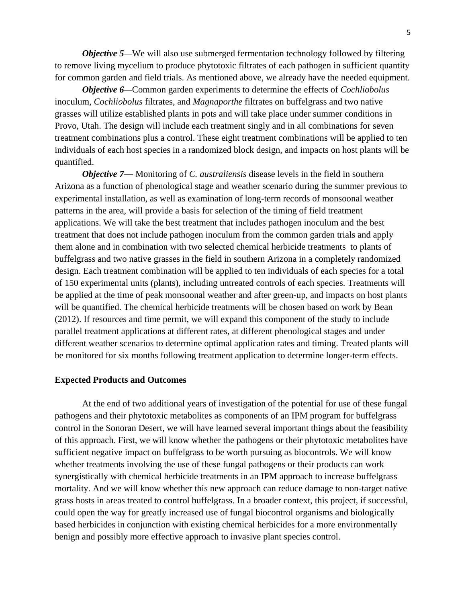*Objective 5—We will also use submerged fermentation technology followed by filtering* to remove living mycelium to produce phytotoxic filtrates of each pathogen in sufficient quantity for common garden and field trials. As mentioned above, we already have the needed equipment.

*Objective 6—*Common garden experiments to determine the effects of *Cochliobolus*  inoculum, *Cochliobolus* filtrates, and *Magnaporthe* filtrates on buffelgrass and two native grasses will utilize established plants in pots and will take place under summer conditions in Provo, Utah. The design will include each treatment singly and in all combinations for seven treatment combinations plus a control. These eight treatment combinations will be applied to ten individuals of each host species in a randomized block design, and impacts on host plants will be quantified.

*Objective 7—* Monitoring of *C. australiensis* disease levels in the field in southern Arizona as a function of phenological stage and weather scenario during the summer previous to experimental installation, as well as examination of long-term records of monsoonal weather patterns in the area, will provide a basis for selection of the timing of field treatment applications. We will take the best treatment that includes pathogen inoculum and the best treatment that does not include pathogen inoculum from the common garden trials and apply them alone and in combination with two selected chemical herbicide treatments to plants of buffelgrass and two native grasses in the field in southern Arizona in a completely randomized design. Each treatment combination will be applied to ten individuals of each species for a total of 150 experimental units (plants), including untreated controls of each species. Treatments will be applied at the time of peak monsoonal weather and after green-up, and impacts on host plants will be quantified. The chemical herbicide treatments will be chosen based on work by Bean (2012). If resources and time permit, we will expand this component of the study to include parallel treatment applications at different rates, at different phenological stages and under different weather scenarios to determine optimal application rates and timing. Treated plants will be monitored for six months following treatment application to determine longer-term effects.

#### **Expected Products and Outcomes**

At the end of two additional years of investigation of the potential for use of these fungal pathogens and their phytotoxic metabolites as components of an IPM program for buffelgrass control in the Sonoran Desert, we will have learned several important things about the feasibility of this approach. First, we will know whether the pathogens or their phytotoxic metabolites have sufficient negative impact on buffelgrass to be worth pursuing as biocontrols. We will know whether treatments involving the use of these fungal pathogens or their products can work synergistically with chemical herbicide treatments in an IPM approach to increase buffelgrass mortality. And we will know whether this new approach can reduce damage to non-target native grass hosts in areas treated to control buffelgrass. In a broader context, this project, if successful, could open the way for greatly increased use of fungal biocontrol organisms and biologically based herbicides in conjunction with existing chemical herbicides for a more environmentally benign and possibly more effective approach to invasive plant species control.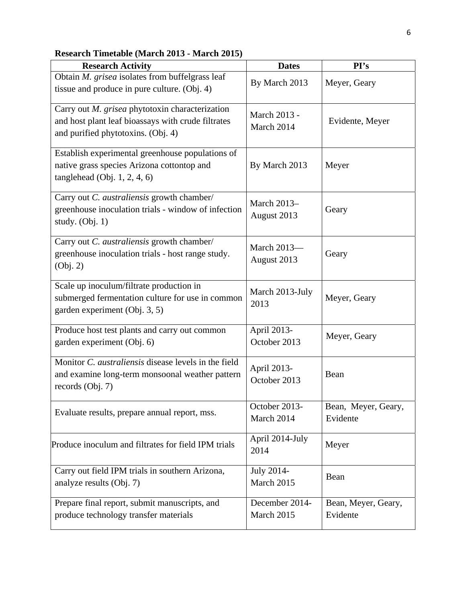| Research Timetable (March 2013 - March 2015) |  |  |
|----------------------------------------------|--|--|
|----------------------------------------------|--|--|

| <b>Research Activity</b>                                                                                                                    | <b>Dates</b>                            | PI's                            |
|---------------------------------------------------------------------------------------------------------------------------------------------|-----------------------------------------|---------------------------------|
| Obtain M. grisea isolates from buffelgrass leaf<br>tissue and produce in pure culture. (Obj. 4)                                             | By March 2013                           | Meyer, Geary                    |
| Carry out M. grisea phytotoxin characterization<br>and host plant leaf bioassays with crude filtrates<br>and purified phytotoxins. (Obj. 4) | March 2013 -<br>March 2014              | Evidente, Meyer                 |
| Establish experimental greenhouse populations of<br>native grass species Arizona cottontop and<br>tanglehead $(Obj. 1, 2, 4, 6)$            | By March 2013                           | Meyer                           |
| Carry out C. australiensis growth chamber/<br>greenhouse inoculation trials - window of infection<br>study. $(Obj. 1)$                      | March 2013-<br>Geary<br>August 2013     |                                 |
| Carry out C. australiensis growth chamber/<br>greenhouse inoculation trials - host range study.<br>(Obj. 2)                                 | March 2013-<br>August 2013              | Geary                           |
| Scale up inoculum/filtrate production in<br>submerged fermentation culture for use in common<br>garden experiment (Obj. 3, 5)               | March 2013-July<br>Meyer, Geary<br>2013 |                                 |
| Produce host test plants and carry out common<br>garden experiment (Obj. 6)                                                                 | April 2013-<br>October 2013             | Meyer, Geary                    |
| Monitor C. australiensis disease levels in the field<br>and examine long-term monsoonal weather pattern<br>records (Obj. 7)                 | April 2013-<br>Bean<br>October 2013     |                                 |
| Evaluate results, prepare annual report, mss.                                                                                               | October 2013-<br>March 2014             | Bean, Meyer, Geary,<br>Evidente |
| Produce inoculum and filtrates for field IPM trials                                                                                         | April 2014-July<br>2014                 | Meyer                           |
| Carry out field IPM trials in southern Arizona,<br>analyze results (Obj. 7)                                                                 | July 2014-<br>March 2015                | Bean                            |
| Prepare final report, submit manuscripts, and<br>produce technology transfer materials                                                      | December 2014-<br>March 2015            | Bean, Meyer, Geary,<br>Evidente |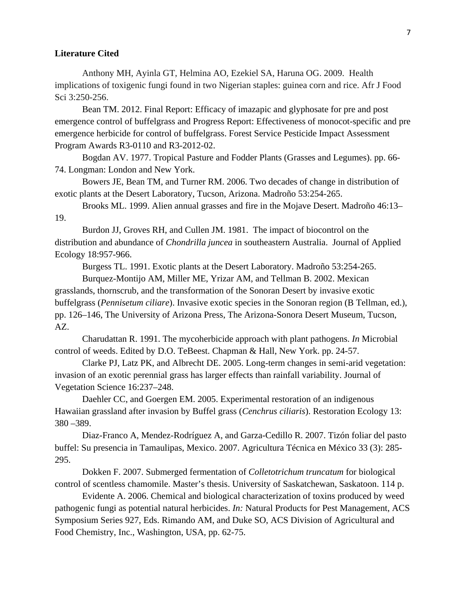#### **Literature Cited**

Anthony MH, Ayinla GT, Helmina AO, Ezekiel SA, Haruna OG. 2009. Health implications of toxigenic fungi found in two Nigerian staples: guinea corn and rice. Afr J Food Sci 3:250-256.

Bean TM. 2012. Final Report: Efficacy of imazapic and glyphosate for pre and post emergence control of buffelgrass and Progress Report: Effectiveness of monocot-specific and pre emergence herbicide for control of buffelgrass. Forest Service Pesticide Impact Assessment Program Awards R3-0110 and R3-2012-02.

Bogdan AV. 1977. Tropical Pasture and Fodder Plants (Grasses and Legumes). pp. 66 74. Longman: London and New York.

Bowers JE, Bean TM, and Turner RM. 2006. Two decades of change in distribution of exotic plants at the Desert Laboratory, Tucson, Arizona. Madroño 53:254-265.

Brooks ML. 1999. Alien annual grasses and fire in the Mojave Desert. Madroño 46:13– 19.

Burdon JJ, Groves RH, and Cullen JM. 1981. The impact of biocontrol on the distribution and abundance of *Chondrilla juncea* in southeastern Australia. Journal of Applied Ecology 18:957-966.

Burgess TL. 1991. Exotic plants at the Desert Laboratory. Madroño 53:254-265.

Burquez-Montijo AM, Miller ME, Yrizar AM, and Tellman B. 2002. Mexican grasslands, thornscrub, and the transformation of the Sonoran Desert by invasive exotic buffelgrass (*Pennisetum ciliare*). Invasive exotic species in the Sonoran region (B Tellman, ed.), pp. 126–146, The University of Arizona Press, The Arizona-Sonora Desert Museum, Tucson, AZ.

Charudattan R. 1991. The mycoherbicide approach with plant pathogens. *In* Microbial control of weeds. Edited by D.O. TeBeest. Chapman & Hall, New York. pp. 24-57.

Clarke PJ, Latz PK, and Albrecht DE. 2005. Long-term changes in semi-arid vegetation: invasion of an exotic perennial grass has larger effects than rainfall variability. Journal of Vegetation Science 16:237–248.

Daehler CC, and Goergen EM. 2005. Experimental restoration of an indigenous Hawaiian grassland after invasion by Buffel grass (*Cenchrus ciliaris*). Restoration Ecology 13: 380 –389.

Diaz-Franco A, Mendez-Rodríguez A, and Garza-Cedillo R. 2007. Tizón foliar del pasto buffel: Su presencia in Tamaulipas, Mexico. 2007. Agricultura Técnica en México 33 (3): 285 295.

Dokken F. 2007. Submerged fermentation of *Colletotrichum truncatum* for biological control of scentless chamomile. Master's thesis. University of Saskatchewan, Saskatoon. 114 p.

Evidente A. 2006. Chemical and biological characterization of toxins produced by weed pathogenic fungi as potential natural herbicides. *In:* Natural Products for Pest Management, ACS Symposium Series 927, Eds. Rimando AM, and Duke SO, ACS Division of Agricultural and Food Chemistry, Inc., Washington, USA, pp. 62-75.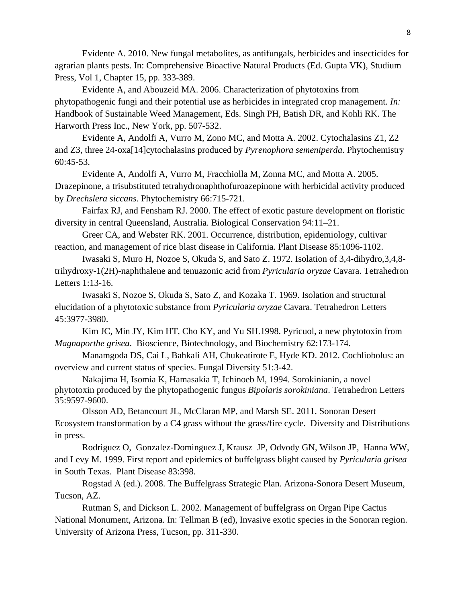Evidente A. 2010. New fungal metabolites, as antifungals, herbicides and insecticides for agrarian plants pests. In: Comprehensive Bioactive Natural Products (Ed. Gupta VK), Studium Press, Vol 1, Chapter 15, pp. 333-389.

Evidente A, and Abouzeid MA. 2006. Characterization of phytotoxins from phytopathogenic fungi and their potential use as herbicides in integrated crop management. *In:*  Handbook of Sustainable Weed Management, Eds. Singh PH, Batish DR, and Kohli RK. The Harworth Press Inc., New York, pp. 507-532.

Evidente A, Andolfi A, Vurro M, Zono MC, and Motta A. 2002. Cytochalasins Z1, Z2 and Z3, three 24-oxa[14]cytochalasins produced by *Pyrenophora semeniperda*. Phytochemistry 60:45-53.

Evidente A, Andolfi A, Vurro M, Fracchiolla M, Zonna MC, and Motta A. 2005. Drazepinone, a trisubstituted tetrahydronaphthofuroazepinone with herbicidal activity produced by *Drechslera siccans.* Phytochemistry 66:715-721.

Fairfax RJ, and Fensham RJ. 2000. The effect of exotic pasture development on floristic diversity in central Queensland, Australia. Biological Conservation 94:11–21.

Greer CA, and Webster RK. 2001. Occurrence, distribution, epidemiology, cultivar reaction, and management of rice blast disease in California. Plant Disease 85:1096-1102.

Iwasaki S, Muro H, Nozoe S, Okuda S, and Sato Z. 1972. Isolation of 3,4-dihydro,3,4,8 trihydroxy-1(2H)-naphthalene and tenuazonic acid from *Pyricularia oryzae* Cavara. Tetrahedron Letters 1:13-16.

Iwasaki S, Nozoe S, Okuda S, Sato Z, and Kozaka T. 1969. Isolation and structural elucidation of a phytotoxic substance from *Pyricularia oryzae* Cavara. Tetrahedron Letters 45:3977-3980.

Kim JC, Min JY, Kim HT, Cho KY, and Yu SH.1998. Pyricuol, a new phytotoxin from *Magnaporthe grisea*. Bioscience, Biotechnology, and Biochemistry 62:173-174.

Manamgoda DS, Cai L, Bahkali AH, Chukeatirote E, Hyde KD. 2012. Cochliobolus: an overview and current status of species. Fungal Diversity 51:3-42.

Nakajima H, Isomia K, Hamasakia T, Ichinoeb M, 1994. Sorokinianin, a novel phytotoxin produced by the phytopathogenic fungus *Bipolaris sorokiniana*. Tetrahedron Letters 35:9597-9600.

Olsson AD, Betancourt JL, McClaran MP, and Marsh SE. 2011. Sonoran Desert Ecosystem transformation by a C4 grass without the grass/fire cycle. Diversity and Distributions in press.

Rodriguez O, Gonzalez-Dominguez J, Krausz JP, Odvody GN, Wilson JP, Hanna WW, and Levy M. 1999. First report and epidemics of buffelgrass blight caused by *Pyricularia grisea*  in South Texas. Plant Disease 83:398.

Rogstad A (ed.). 2008. The Buffelgrass Strategic Plan. Arizona-Sonora Desert Museum, Tucson, AZ.

Rutman S, and Dickson L. 2002. Management of buffelgrass on Organ Pipe Cactus National Monument, Arizona. In: Tellman B (ed), Invasive exotic species in the Sonoran region. University of Arizona Press, Tucson, pp. 311-330.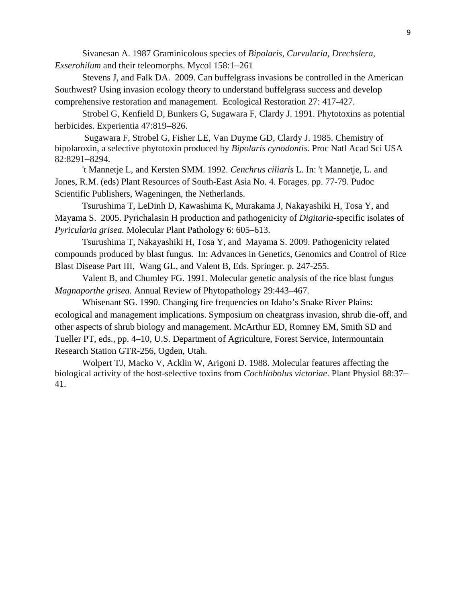*Exserohilum* and their teleomorphs. Mycol 158:1-261 Sivanesan A. 1987 Graminicolous species of *Bipolaris, Curvularia, Drechslera,* 

*Exerormerhiers* J, and Falk DA. 2009. Can buffelgrass invasions be controlled in the American Southwest? Using invasion ecology theory to understand buffelgrass success and develop comprehensive restoration and management. Ecological Restoration 27: 417-427.

Strobel G, Kenfield D, Bunkers G, Sugawara F, Clardy J. 1991. Phytotoxins as potential herbicides. Experientia 47:819–826.

Sugawara F, Strobel G, Fisher LE, Van Duyme GD, Clardy J. 1985. Chemistry of bipolaroxin, a selective phytotoxin produced by *Bipolaris cynodontis*. Proc Natl Acad Sci USA 82:8291–8294.

't Mannetje L, and Kersten SMM. 1992. *Cenchrus ciliaris* L. In: 't Mannetje, L. and Jones, R.M. (eds) Plant Resources of South-East Asia No. 4. Forages. pp. 77-79. Pudoc Scientific Publishers, Wageningen, the Netherlands.

Tsurushima T, LeDinh D, Kawashima K, Murakama J, Nakayashiki H, Tosa Y, and Mayama S. 2005. Pyrichalasin H production and pathogenicity of *Digitaria*-specific isolates of *Pyricularia grisea.* Molecular Plant Pathology 6: 605–613.

Tsurushima T, Nakayashiki H, Tosa Y, and Mayama S. 2009. Pathogenicity related compounds produced by blast fungus. In: Advances in Genetics, Genomics and Control of Rice Blast Disease Part III, Wang GL, and Valent B, Eds. Springer. p. 247-255.

Valent B, and Chumley FG. 1991. Molecular genetic analysis of the rice blast fungus *Magnaporthe grisea.* Annual Review of Phytopathology 29:443–467.

Whisenant SG. 1990. Changing fire frequencies on Idaho's Snake River Plains: ecological and management implications. Symposium on cheatgrass invasion, shrub die-off, and other aspects of shrub biology and management. McArthur ED, Romney EM, Smith SD and Tueller PT, eds., pp. 4–10, U.S. Department of Agriculture, Forest Service, Intermountain Research Station GTR-256, Ogden, Utah.

Wolpert TJ, Macko V, Acklin W, Arigoni D. 1988. Molecular features affecting the biological activity of the host-selective toxins from *Cochliobolus victoriae*. Plant Physiol 88:37– 41.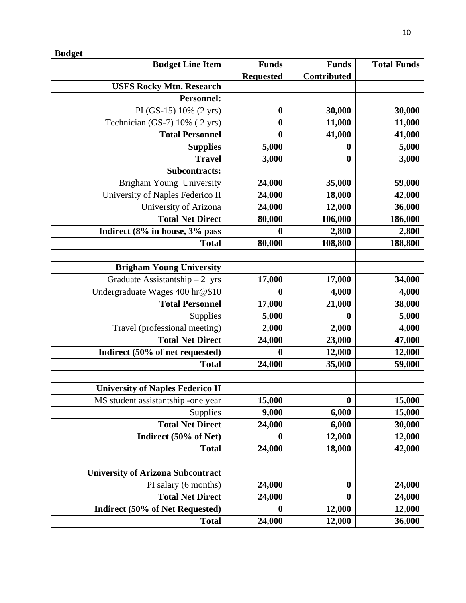| <b>Budget Line Item</b>                  | <b>Funds</b>     | <b>Funds</b>     | <b>Total Funds</b> |
|------------------------------------------|------------------|------------------|--------------------|
|                                          | <b>Requested</b> | Contributed      |                    |
| <b>USFS Rocky Mtn. Research</b>          |                  |                  |                    |
| <b>Personnel:</b>                        |                  |                  |                    |
| PI (GS-15) 10% (2 yrs)                   | $\boldsymbol{0}$ | 30,000           | 30,000             |
| Technician (GS-7) 10% (2 yrs)            | $\boldsymbol{0}$ | 11,000           | 11,000             |
| <b>Total Personnel</b>                   | $\boldsymbol{0}$ | 41,000           | 41,000             |
| <b>Supplies</b>                          | 5,000            | 0                | 5,000              |
| <b>Travel</b>                            | 3,000            | $\boldsymbol{0}$ | 3,000              |
| <b>Subcontracts:</b>                     |                  |                  |                    |
| Brigham Young University                 | 24,000           | 35,000           | 59,000             |
| University of Naples Federico II         | 24,000           | 18,000           | 42,000             |
| University of Arizona                    | 24,000           | 12,000           | 36,000             |
| <b>Total Net Direct</b>                  | 80,000           | 106,000          | 186,000            |
| Indirect (8% in house, 3% pass           | $\boldsymbol{0}$ | 2,800            | 2,800              |
| <b>Total</b>                             | 80,000           | 108,800          | 188,800            |
|                                          |                  |                  |                    |
| <b>Brigham Young University</b>          |                  |                  |                    |
| Graduate Assistantship $-2$ yrs          | 17,000           | 17,000           | 34,000             |
| Undergraduate Wages 400 hr@\$10          | $\boldsymbol{0}$ | 4,000            | 4,000              |
| <b>Total Personnel</b>                   | 17,000           | 21,000           | 38,000             |
| Supplies                                 | 5,000            | $\boldsymbol{0}$ | 5,000              |
| Travel (professional meeting)            | 2,000            | 2,000            | 4,000              |
| <b>Total Net Direct</b>                  | 24,000           | 23,000           | 47,000             |
| Indirect (50% of net requested)          | 0                | 12,000           | 12,000             |
| <b>Total</b>                             | 24,000           | 35,000           | 59,000             |
|                                          |                  |                  |                    |
| <b>University of Naples Federico II</b>  |                  |                  |                    |
| MS student assistantship -one year       | 15,000           | $\bf{0}$         | 15,000             |
| Supplies                                 | 9,000            | 6,000            | 15,000             |
| <b>Total Net Direct</b>                  | 24,000           | 6,000            | 30,000             |
| Indirect (50% of Net)                    | $\boldsymbol{0}$ | 12,000           | 12,000             |
| <b>Total</b>                             | 24,000           | 18,000           | 42,000             |
|                                          |                  |                  |                    |
| <b>University of Arizona Subcontract</b> |                  |                  |                    |
| PI salary (6 months)                     | 24,000           | $\boldsymbol{0}$ | 24,000             |
| <b>Total Net Direct</b>                  | 24,000           | $\boldsymbol{0}$ | 24,000             |
| <b>Indirect (50% of Net Requested)</b>   | $\boldsymbol{0}$ | 12,000           | 12,000             |
| <b>Total</b>                             | 24,000           | 12,000           | 36,000             |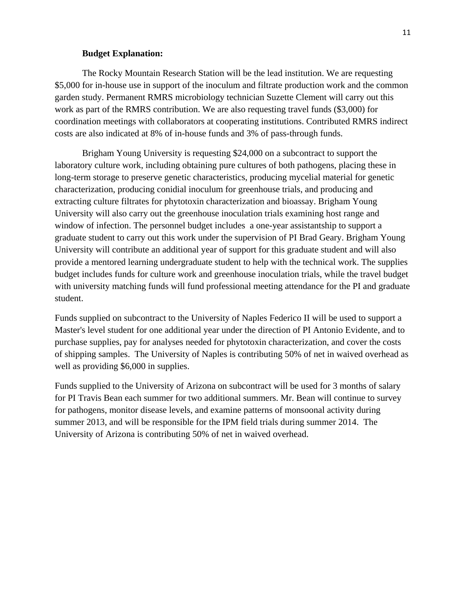#### **Budget Explanation:**

The Rocky Mountain Research Station will be the lead institution. We are requesting \$5,000 for in-house use in support of the inoculum and filtrate production work and the common garden study. Permanent RMRS microbiology technician Suzette Clement will carry out this work as part of the RMRS contribution. We are also requesting travel funds (\$3,000) for coordination meetings with collaborators at cooperating institutions. Contributed RMRS indirect costs are also indicated at 8% of in-house funds and 3% of pass-through funds.

Brigham Young University is requesting \$24,000 on a subcontract to support the laboratory culture work, including obtaining pure cultures of both pathogens, placing these in long-term storage to preserve genetic characteristics, producing mycelial material for genetic characterization, producing conidial inoculum for greenhouse trials, and producing and extracting culture filtrates for phytotoxin characterization and bioassay. Brigham Young University will also carry out the greenhouse inoculation trials examining host range and window of infection. The personnel budget includes a one-year assistantship to support a graduate student to carry out this work under the supervision of PI Brad Geary. Brigham Young University will contribute an additional year of support for this graduate student and will also provide a mentored learning undergraduate student to help with the technical work. The supplies budget includes funds for culture work and greenhouse inoculation trials, while the travel budget with university matching funds will fund professional meeting attendance for the PI and graduate student.

Funds supplied on subcontract to the University of Naples Federico II will be used to support a Master's level student for one additional year under the direction of PI Antonio Evidente, and to purchase supplies, pay for analyses needed for phytotoxin characterization, and cover the costs of shipping samples. The University of Naples is contributing 50% of net in waived overhead as well as providing \$6,000 in supplies.

Funds supplied to the University of Arizona on subcontract will be used for 3 months of salary for PI Travis Bean each summer for two additional summers. Mr. Bean will continue to survey for pathogens, monitor disease levels, and examine patterns of monsoonal activity during summer 2013, and will be responsible for the IPM field trials during summer 2014. The University of Arizona is contributing 50% of net in waived overhead.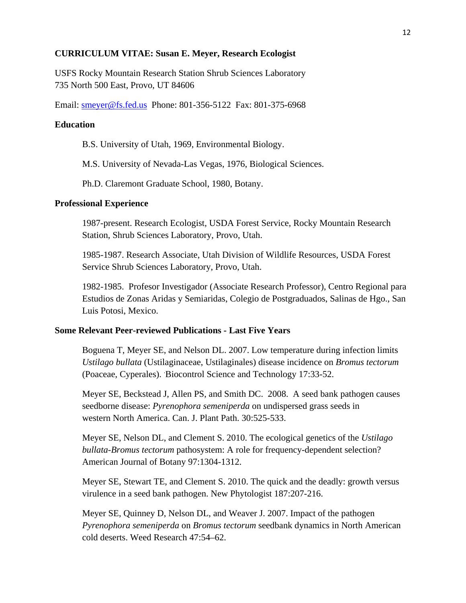### **CURRICULUM VITAE: Susan E. Meyer, Research Ecologist**

USFS Rocky Mountain Research Station Shrub Sciences Laboratory 735 North 500 East, Provo, UT 84606

Email: smeyer@fs.fed.us Phone: 801-356-5122 Fax: 801-375-6968

### **Education**

B.S. University of Utah, 1969, Environmental Biology.

M.S. University of Nevada-Las Vegas, 1976, Biological Sciences.

Ph.D. Claremont Graduate School, 1980, Botany.

## **Professional Experience**

1987-present. Research Ecologist, USDA Forest Service, Rocky Mountain Research Station, Shrub Sciences Laboratory, Provo, Utah.

1985-1987. Research Associate, Utah Division of Wildlife Resources, USDA Forest Service Shrub Sciences Laboratory, Provo, Utah.

 Luis Potosi, Mexico. 1982-1985. Profesor Investigador (Associate Research Professor), Centro Regional para Estudios de Zonas Aridas y Semiaridas, Colegio de Postgraduados, Salinas de Hgo., San

# **Some Relevant Peer-reviewed Publications - Last Five Years**

Boguena T, Meyer SE, and Nelson DL. 2007. Low temperature during infection limits *Ustilago bullata* (Ustilaginaceae, Ustilaginales) disease incidence on *Bromus tectorum*  (Poaceae, Cyperales). Biocontrol Science and Technology 17:33-52.

Meyer SE, Beckstead J, Allen PS, and Smith DC. 2008. A seed bank pathogen causes seedborne disease: *Pyrenophora semeniperda* on undispersed grass seeds in western North America. Can. J. Plant Path. 30:525-533.

  *bullata-Bromus tectorum* pathosystem: A role for frequency-dependent selection? American Journal of Botany 97:1304-1312. Meyer SE, Nelson DL, and Clement S. 2010. The ecological genetics of the *Ustilago* 

Meyer SE, Stewart TE, and Clement S. 2010. The quick and the deadly: growth versus virulence in a seed bank pathogen. New Phytologist 187:207-216.

Meyer SE, Quinney D, Nelson DL, and Weaver J. 2007. Impact of the pathogen *Pyrenophora semeniperda* on *Bromus tectorum* seedbank dynamics in North American cold deserts. Weed Research 47:54–62.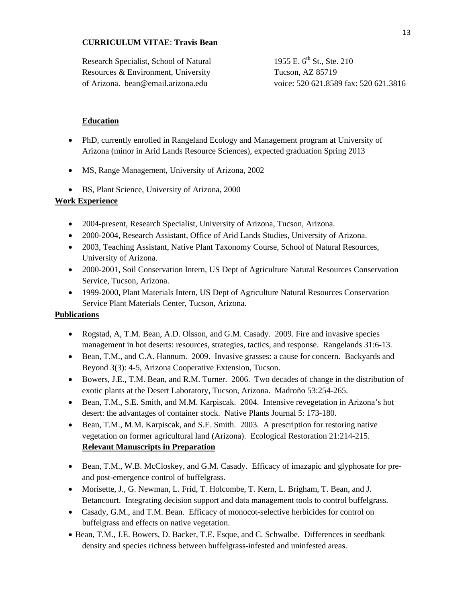# **CURRICULUM VITAE**: **Travis Bean**

| Research Specialist, School of Natural | 1955 E. $6^{\text{th}}$ St., Ste. 210 |
|----------------------------------------|---------------------------------------|
| Resources & Environment, University    | Tucson, AZ 85719                      |
| of Arizona. bean@email.arizona.edu     | voice: 520 621.8589 fax: 520 621.3816 |

# **Education**

- PhD, currently enrolled in Rangeland Ecology and Management program at University of Arizona (minor in Arid Lands Resource Sciences), expected graduation Spring 2013
- MS, Range Management, University of Arizona, 2002
- BS, Plant Science, University of Arizona, 2000

# **Work Experience**

- 2004-present, Research Specialist, University of Arizona, Tucson, Arizona.
- 2000-2004, Research Assistant, Office of Arid Lands Studies, University of Arizona.
- 2003, Teaching Assistant, Native Plant Taxonomy Course, School of Natural Resources, University of Arizona.
- 2000-2001, Soil Conservation Intern, US Dept of Agriculture Natural Resources Conservation Service, Tucson, Arizona.
- 1999-2000, Plant Materials Intern, US Dept of Agriculture Natural Resources Conservation Service Plant Materials Center, Tucson, Arizona.

### **Publications**

- Rogstad, A, T.M. Bean, A.D. Olsson, and G.M. Casady. 2009. Fire and invasive species management in hot deserts: resources, strategies, tactics, and response. Rangelands 31:6-13.
- Bean, T.M., and C.A. Hannum. 2009. Invasive grasses: a cause for concern. Backyards and Beyond 3(3): 4-5, Arizona Cooperative Extension, Tucson.
- Bowers, J.E., T.M. Bean, and R.M. Turner. 2006. Two decades of change in the distribution of exotic plants at the Desert Laboratory, Tucson, Arizona. Madroño 53:254-265.
- Bean, T.M., S.E. Smith, and M.M. Karpiscak. 2004. Intensive revegetation in Arizona's hot desert: the advantages of container stock. Native Plants Journal 5: 173-180.
- Bean, T.M., M.M. Karpiscak, and S.E. Smith. 2003. A prescription for restoring native vegetation on former agricultural land (Arizona). Ecological Restoration 21:214-215. **Relevant Manuscripts in Preparation**
- Bean, T.M., W.B. McCloskey, and G.M. Casady. Efficacy of imazapic and glyphosate for preand post-emergence control of buffelgrass.
- Morisette, J., G. Newman, L. Frid, T. Holcombe, T. Kern, L. Brigham, T. Bean, and J. Betancourt. Integrating decision support and data management tools to control buffelgrass.
- Casady, G.M., and T.M. Bean. Efficacy of monocot-selective herbicides for control on buffelgrass and effects on native vegetation.
- Bean, T.M., J.E. Bowers, D. Backer, T.E. Esque, and C. Schwalbe. Differences in seedbank density and species richness between buffelgrass-infested and uninfested areas.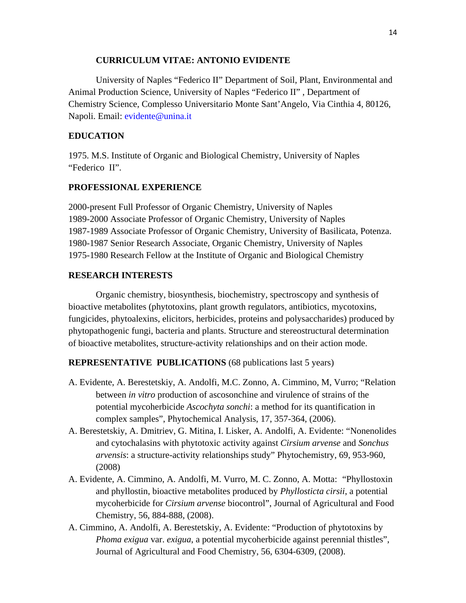# **CURRICULUM VITAE: ANTONIO EVIDENTE**

University of Naples "Federico II" Department of Soil, Plant, Environmental and Animal Production Science, University of Naples "Federico II" , Department of Chemistry Science, Complesso Universitario Monte Sant'Angelo, Via Cinthia 4, 80126, Napoli. Email: evidente@unina.it

# **EDUCATION**

1975. M.S. Institute of Organic and Biological Chemistry, University of Naples "Federico II".

### **PROFESSIONAL EXPERIENCE**

2000-present Full Professor of Organic Chemistry, University of Naples 1989-2000 Associate Professor of Organic Chemistry, University of Naples 1987-1989 Associate Professor of Organic Chemistry, University of Basilicata, Potenza. 1980-1987 Senior Research Associate, Organic Chemistry, University of Naples 1975-1980 Research Fellow at the Institute of Organic and Biological Chemistry

### **RESEARCH INTERESTS**

Organic chemistry, biosynthesis, biochemistry, spectroscopy and synthesis of bioactive metabolites (phytotoxins, plant growth regulators, antibiotics, mycotoxins, fungicides, phytoalexins, elicitors, herbicides, proteins and polysaccharides) produced by phytopathogenic fungi, bacteria and plants. Structure and stereostructural determination of bioactive metabolites, structure-activity relationships and on their action mode.

## **REPRESENTATIVE PUBLICATIONS** (68 publications last 5 years)

- A. Evidente, A. Berestetskiy, A. Andolfi, M.C. Zonno, A. Cimmino, M, Vurro; "Relation between *in vitro* production of ascosonchine and virulence of strains of the potential mycoherbicide *Ascochyta sonchi*: a method for its quantification in complex samples", Phytochemical Analysis, 17, 357-364, (2006).
- A. Berestetskiy, A. Dmitriev, G. Mitina, I. Lisker, A. Andolfi, A. Evidente: "Nonenolides and cytochalasins with phytotoxic activity against *Cirsium arvense* and *Sonchus arvensis*: a structure-activity relationships study" Phytochemistry, 69, 953-960, (2008)
- A. Evidente, A. Cimmino, A. Andolfi, M. Vurro, M. C. Zonno, A. Motta: "Phyllostoxin and phyllostin, bioactive metabolites produced by *Phyllosticta cirsii*, a potential mycoherbicide for *Cirsium arvense* biocontrol", Journal of Agricultural and Food Chemistry, 56, 884-888, (2008).
- A. Cimmino, A. Andolfi, A. Berestetskiy, A. Evidente: "Production of phytotoxins by *Phoma exigua* var. *exigua*, a potential mycoherbicide against perennial thistles", Journal of Agricultural and Food Chemistry, 56, 6304-6309, (2008).